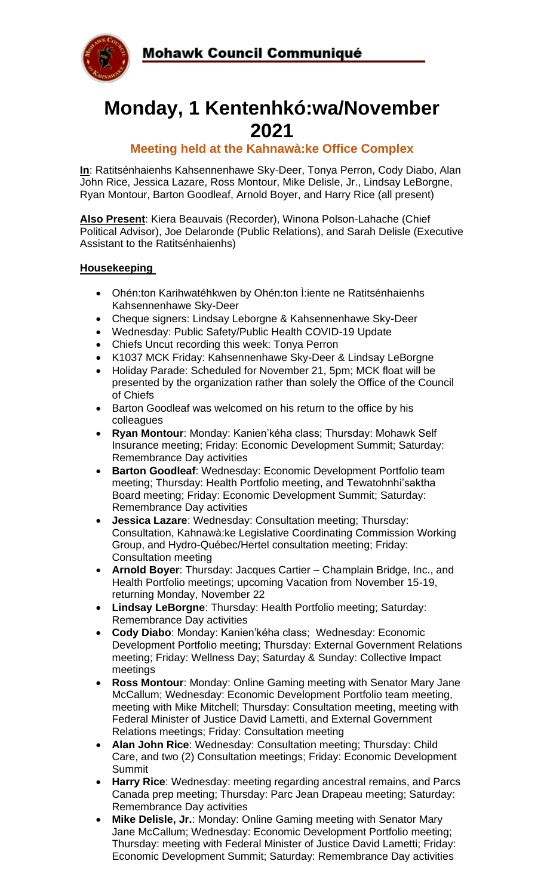

# **Monday, 1 Kentenhkó:wa/November 2021**

### **Meeting held at the Kahnawà:ke Office Complex**

**In**: Ratitsénhaienhs Kahsennenhawe Sky-Deer, Tonya Perron, Cody Diabo, Alan John Rice, Jessica Lazare, Ross Montour, Mike Delisle, Jr., Lindsay LeBorgne, Ryan Montour, Barton Goodleaf, Arnold Boyer, and Harry Rice (all present)

**Also Present**: Kiera Beauvais (Recorder), Winona Polson-Lahache (Chief Political Advisor), Joe Delaronde (Public Relations), and Sarah Delisle (Executive Assistant to the Ratitsénhaienhs)

#### **Housekeeping**

- Ohén:ton Karihwatéhkwen by Ohén:ton Ì:iente ne Ratitsénhaienhs Kahsennenhawe Sky-Deer
- Cheque signers: Lindsay Leborgne & Kahsennenhawe Sky-Deer
- Wednesday: Public Safety/Public Health COVID-19 Update
- Chiefs Uncut recording this week: Tonya Perron
- K1037 MCK Friday: Kahsennenhawe Sky-Deer & Lindsay LeBorgne
- Holiday Parade: Scheduled for November 21, 5pm; MCK float will be presented by the organization rather than solely the Office of the Council of Chiefs
- Barton Goodleaf was welcomed on his return to the office by his colleagues
- **Ryan Montour**: Monday: Kanien'kéha class; Thursday: Mohawk Self Insurance meeting; Friday: Economic Development Summit; Saturday: Remembrance Day activities
- **Barton Goodleaf**: Wednesday: Economic Development Portfolio team meeting; Thursday: Health Portfolio meeting, and Tewatohnhi'saktha Board meeting; Friday: Economic Development Summit; Saturday: Remembrance Day activities
- **Jessica Lazare**: Wednesday: Consultation meeting; Thursday: Consultation, Kahnawà:ke Legislative Coordinating Commission Working Group, and Hydro-Québec/Hertel consultation meeting; Friday: Consultation meeting
- **Arnold Boyer**: Thursday: Jacques Cartier Champlain Bridge, Inc., and Health Portfolio meetings; upcoming Vacation from November 15-19, returning Monday, November 22
- **Lindsay LeBorgne**: Thursday: Health Portfolio meeting; Saturday: Remembrance Day activities
- **Cody Diabo**: Monday: Kanien'kéha class; Wednesday: Economic Development Portfolio meeting; Thursday: External Government Relations meeting; Friday: Wellness Day; Saturday & Sunday: Collective Impact meetings
- **Ross Montour**: Monday: Online Gaming meeting with Senator Mary Jane McCallum; Wednesday: Economic Development Portfolio team meeting, meeting with Mike Mitchell; Thursday: Consultation meeting, meeting with Federal Minister of Justice David Lametti, and External Government Relations meetings; Friday: Consultation meeting
- **Alan John Rice**: Wednesday: Consultation meeting; Thursday: Child Care, and two (2) Consultation meetings; Friday: Economic Development Summit
- **Harry Rice**: Wednesday: meeting regarding ancestral remains, and Parcs Canada prep meeting; Thursday: Parc Jean Drapeau meeting; Saturday: Remembrance Day activities
- **Mike Delisle, Jr.**: Monday: Online Gaming meeting with Senator Mary Jane McCallum; Wednesday: Economic Development Portfolio meeting; Thursday: meeting with Federal Minister of Justice David Lametti; Friday: Economic Development Summit; Saturday: Remembrance Day activities